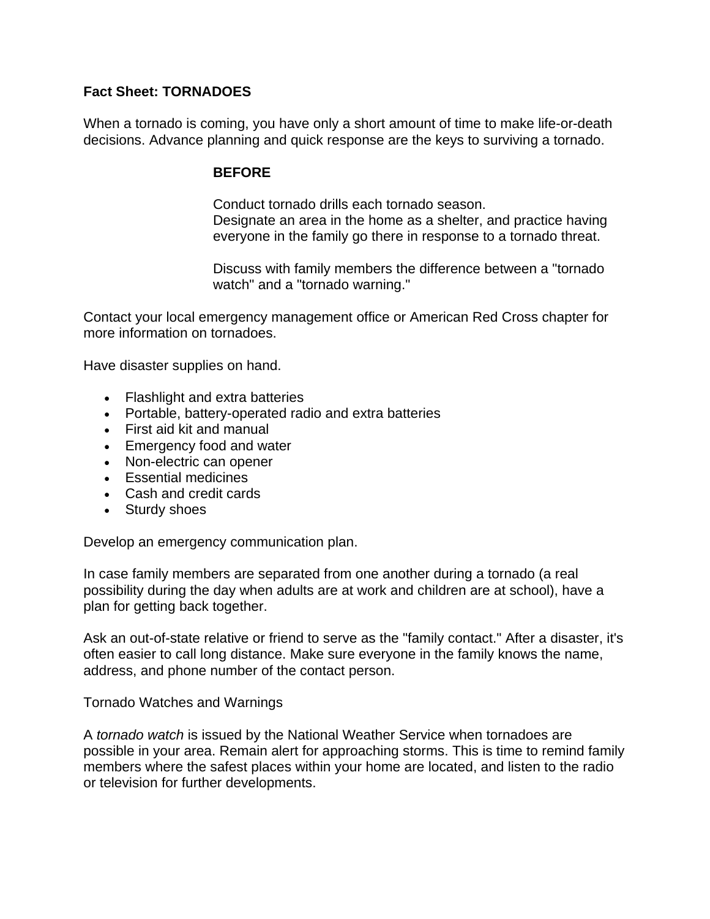### **Fact Sheet: TORNADOES**

When a tornado is coming, you have only a short amount of time to make life-or-death decisions. Advance planning and quick response are the keys to surviving a tornado.

#### **BEFORE**

Conduct tornado drills each tornado season. Designate an area in the home as a shelter, and practice having everyone in the family go there in response to a tornado threat.

Discuss with family members the difference between a "tornado watch" and a "tornado warning."

Contact your local emergency management office or American Red Cross chapter for more information on tornadoes.

Have disaster supplies on hand.

- Flashlight and extra batteries
- Portable, battery-operated radio and extra batteries
- First aid kit and manual
- Emergency food and water
- Non-electric can opener
- Essential medicines
- Cash and credit cards
- Sturdy shoes

Develop an emergency communication plan.

In case family members are separated from one another during a tornado (a real possibility during the day when adults are at work and children are at school), have a plan for getting back together.

Ask an out-of-state relative or friend to serve as the "family contact." After a disaster, it's often easier to call long distance. Make sure everyone in the family knows the name, address, and phone number of the contact person.

Tornado Watches and Warnings

A *tornado watch* is issued by the National Weather Service when tornadoes are possible in your area. Remain alert for approaching storms. This is time to remind family members where the safest places within your home are located, and listen to the radio or television for further developments.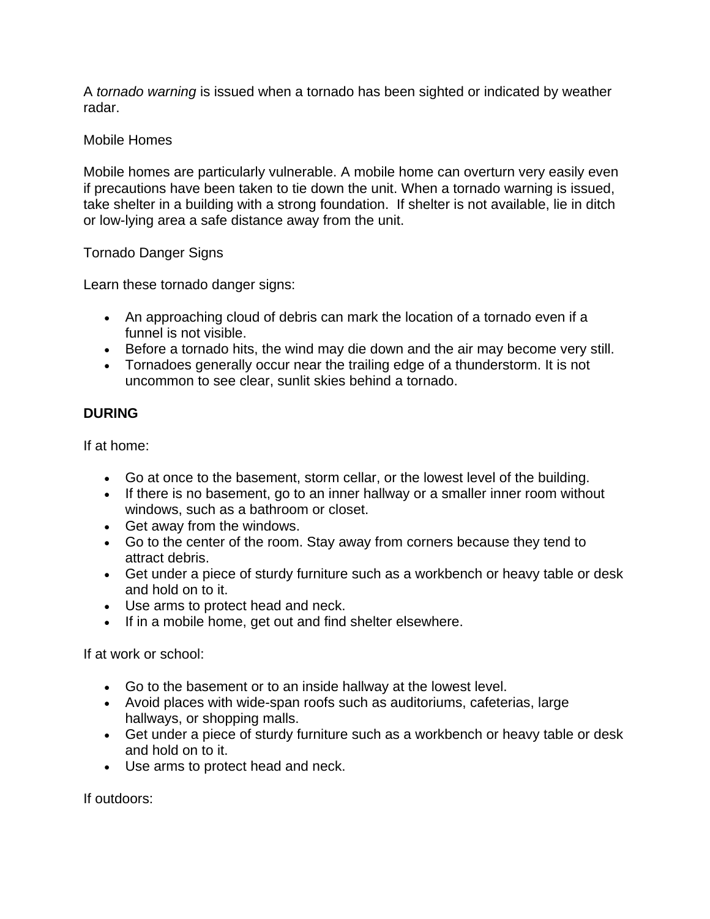A *tornado warning* is issued when a tornado has been sighted or indicated by weather radar.

# Mobile Homes

Mobile homes are particularly vulnerable. A mobile home can overturn very easily even if precautions have been taken to tie down the unit. When a tornado warning is issued, take shelter in a building with a strong foundation. If shelter is not available, lie in ditch or low-lying area a safe distance away from the unit.

### Tornado Danger Signs

Learn these tornado danger signs:

- An approaching cloud of debris can mark the location of a tornado even if a funnel is not visible.
- Before a tornado hits, the wind may die down and the air may become very still.
- Tornadoes generally occur near the trailing edge of a thunderstorm. It is not uncommon to see clear, sunlit skies behind a tornado.

# **DURING**

If at home:

- Go at once to the basement, storm cellar, or the lowest level of the building.
- If there is no basement, go to an inner hallway or a smaller inner room without windows, such as a bathroom or closet.
- Get away from the windows.
- Go to the center of the room. Stay away from corners because they tend to attract debris.
- Get under a piece of sturdy furniture such as a workbench or heavy table or desk and hold on to it.
- Use arms to protect head and neck.
- If in a mobile home, get out and find shelter elsewhere.

If at work or school:

- Go to the basement or to an inside hallway at the lowest level.
- Avoid places with wide-span roofs such as auditoriums, cafeterias, large hallways, or shopping malls.
- Get under a piece of sturdy furniture such as a workbench or heavy table or desk and hold on to it.
- Use arms to protect head and neck.

If outdoors: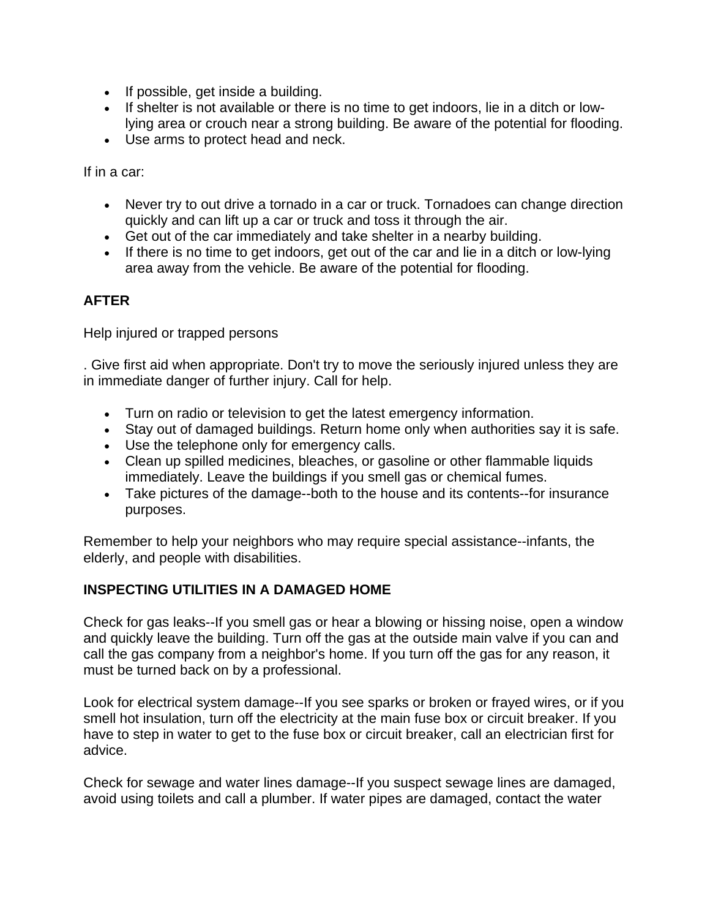- If possible, get inside a building.
- If shelter is not available or there is no time to get indoors, lie in a ditch or lowlying area or crouch near a strong building. Be aware of the potential for flooding.
- Use arms to protect head and neck.

If in a car:

- Never try to out drive a tornado in a car or truck. Tornadoes can change direction quickly and can lift up a car or truck and toss it through the air.
- Get out of the car immediately and take shelter in a nearby building.
- If there is no time to get indoors, get out of the car and lie in a ditch or low-lying area away from the vehicle. Be aware of the potential for flooding.

# **AFTER**

Help injured or trapped persons

. Give first aid when appropriate. Don't try to move the seriously injured unless they are in immediate danger of further injury. Call for help.

- Turn on radio or television to get the latest emergency information.
- Stay out of damaged buildings. Return home only when authorities say it is safe.
- Use the telephone only for emergency calls.
- Clean up spilled medicines, bleaches, or gasoline or other flammable liquids immediately. Leave the buildings if you smell gas or chemical fumes.
- Take pictures of the damage--both to the house and its contents--for insurance purposes.

Remember to help your neighbors who may require special assistance--infants, the elderly, and people with disabilities.

### **INSPECTING UTILITIES IN A DAMAGED HOME**

Check for gas leaks--If you smell gas or hear a blowing or hissing noise, open a window and quickly leave the building. Turn off the gas at the outside main valve if you can and call the gas company from a neighbor's home. If you turn off the gas for any reason, it must be turned back on by a professional.

Look for electrical system damage--If you see sparks or broken or frayed wires, or if you smell hot insulation, turn off the electricity at the main fuse box or circuit breaker. If you have to step in water to get to the fuse box or circuit breaker, call an electrician first for advice.

Check for sewage and water lines damage--If you suspect sewage lines are damaged, avoid using toilets and call a plumber. If water pipes are damaged, contact the water